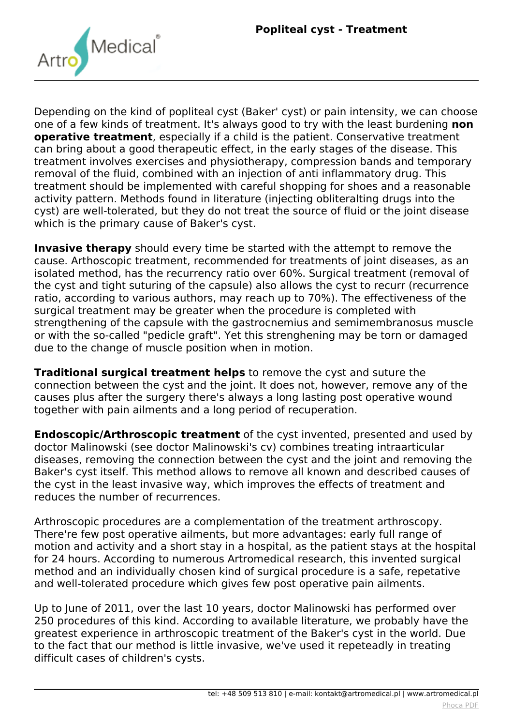

*Depending on the kind of popliteal cyst (Baker' cyst) or pain intensity, we can choose one of a few kinds of treatment. It's always good to try with the least burdening non* **operative treatment***, especially if a child is the patient. Conservative treatment can bring about a good therapeutic effect, in the early stages of the disease. This treatment involves exercises and physiotherapy, compression bands and temporary removal of the fluid, combined with an injection of anti inflammatory drug. This treatment should be implemented with careful shopping for shoes and a reasonable activity pattern. Methods found in literature (injecting obliteralting drugs into the cyst) are well-tolerated, but they do not treat the source of fluid or the joint disease which is the primary cause of Baker's cyst.*

**Invasive therapy** *should every time be started with the attempt to remove the cause. Arthoscopic treatment, recommended for treatments of joint diseases, as an isolated method, has the recurrency ratio over 60%. Surgical treatment (removal of the cyst and tight suturing of the capsule) also allows the cyst to recurr (recurrence ratio, according to various authors, may reach up to 70%). The effectiveness of the surgical treatment may be greater when the procedure is completed with strengthening of the capsule with the gastrocnemius and semimembranosus muscle or with the so-called "pedicle graft". Yet this strenghening may be torn or damaged due to the change of muscle position when in motion.*

**Traditional surgical treatment helps** *to remove the cyst and suture the connection between the cyst and the joint. It does not, however, remove any of the causes plus after the surgery there's always a long lasting post operative wound together with pain ailments and a long period of recuperation.*

**Endoscopic/Arthroscopic treatment** *of the cyst invented, presented and used by doctor Malinowski (see doctor Malinowski's cv) combines treating intraarticular diseases, removing the connection between the cyst and the joint and removing the Baker's cyst itself. This method allows to remove all known and described causes of the cyst in the least invasive way, which improves the effects of treatment and reduces the number of recurrences.*

*Arthroscopic procedures are a complementation of the treatment arthroscopy. There're few post operative ailments, but more advantages: early full range of motion and activity and a short stay in a hospital, as the patient stays at the hospital for 24 hours. According to numerous Artromedical research, this invented surgical method and an individually chosen kind of surgical procedure is a safe, repetative and well-tolerated procedure which gives few post operative pain ailments.*

*Up to June of 2011, over the last 10 years, doctor Malinowski has performed over 250 procedures of this kind. According to available literature, we probably have the greatest experience in arthroscopic treatment of the Baker's cyst in the world. Due to the fact that our method is little invasive, we've used it repeteadly in treating difficult cases of children's cysts.*